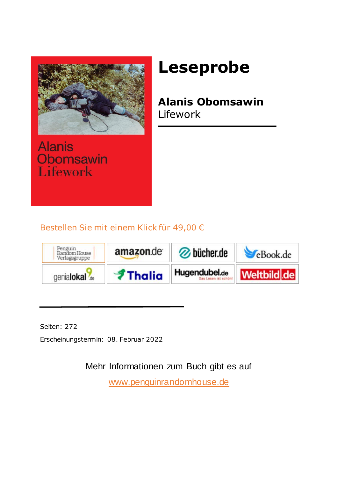

**Alanis** Obomsawin **Lifework** 

#### **Leseprobe**

#### **Alanis Obomsawin** Lifework

Bestellen Sie mit einem Klick für 49,00 €



Seiten: 272

Erscheinungstermin: 08. Februar 2022

Mehr Informationen zum Buch gibt es auf

<www.penguinrandomhouse.de>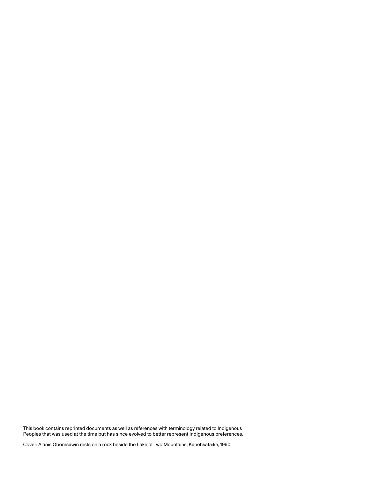This book contains reprinted documents as well as references with terminology related to Indigenous Peoples that was used at the time but has since evolved to better represent Indigenous preferences.

Cover: Alanis Obomsawin rests on a rock beside the Lake of Two Mountains, Kanehsatà:ke, 1990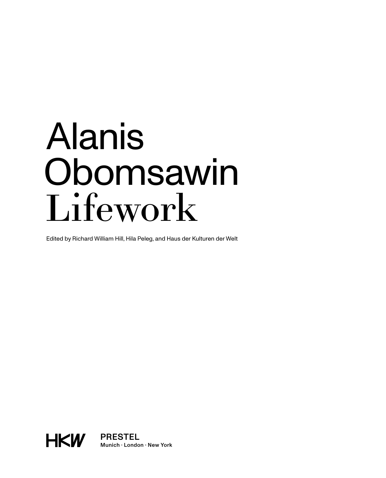# Alanis Obomsawin Lifework

Edited by Richard William Hill, Hila Peleg, and Haus der Kulturen der Welt



PRESTEL Munich · London · New York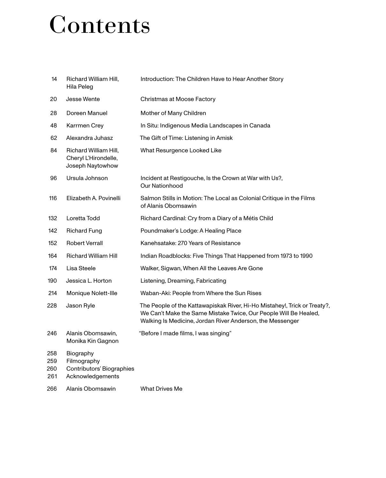#### Contents

| 14                       | Richard William Hill,<br>Hila Peleg                                       | Introduction: The Children Have to Hear Another Story                                                                                                                                                      |
|--------------------------|---------------------------------------------------------------------------|------------------------------------------------------------------------------------------------------------------------------------------------------------------------------------------------------------|
| 20                       | Jesse Wente                                                               | Christmas at Moose Factory                                                                                                                                                                                 |
| 28                       | Doreen Manuel                                                             | Mother of Many Children                                                                                                                                                                                    |
| 48                       | Karrmen Crey                                                              | In Situ: Indigenous Media Landscapes in Canada                                                                                                                                                             |
| 62                       | Alexandra Juhasz                                                          | The Gift of Time: Listening in Amisk                                                                                                                                                                       |
| 84                       | Richard William Hill,<br>Cheryl L'Hirondelle,<br>Joseph Naytowhow         | What Resurgence Looked Like                                                                                                                                                                                |
| 96                       | Ursula Johnson                                                            | Incident at Restigouche, Is the Crown at War with Us?,<br>Our Nationhood                                                                                                                                   |
| 116                      | Elizabeth A. Povinelli                                                    | Salmon Stills in Motion: The Local as Colonial Critique in the Films<br>of Alanis Obomsawin                                                                                                                |
| 132                      | Loretta Todd                                                              | Richard Cardinal: Cry from a Diary of a Métis Child                                                                                                                                                        |
| 142                      | <b>Richard Fung</b>                                                       | Poundmaker's Lodge: A Healing Place                                                                                                                                                                        |
| 152                      | <b>Robert Verrall</b>                                                     | Kanehsatake: 270 Years of Resistance                                                                                                                                                                       |
| 164                      | <b>Richard William Hill</b>                                               | Indian Roadblocks: Five Things That Happened from 1973 to 1990                                                                                                                                             |
| 174                      | Lisa Steele                                                               | Walker, Sigwan, When All the Leaves Are Gone                                                                                                                                                               |
| 190                      | Jessica L. Horton                                                         | Listening, Dreaming, Fabricating                                                                                                                                                                           |
| 214                      | Monique Nolett-Ille                                                       | Waban-Aki: People from Where the Sun Rises                                                                                                                                                                 |
| 228                      | Jason Ryle                                                                | The People of the Kattawapiskak River, Hi-Ho Mistahey!, Trick or Treaty?,<br>We Can't Make the Same Mistake Twice, Our People Will Be Healed,<br>Walking Is Medicine, Jordan River Anderson, the Messenger |
| 246                      | Alanis Obomsawin,<br>Monika Kin Gagnon                                    | "Before I made films, I was singing"                                                                                                                                                                       |
| 258<br>259<br>260<br>261 | Biography<br>Filmography<br>Contributors' Biographies<br>Acknowledgements |                                                                                                                                                                                                            |
| 266                      | Alanis Obomsawin                                                          | <b>What Drives Me</b>                                                                                                                                                                                      |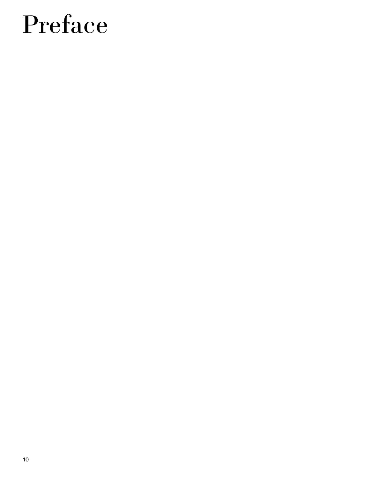#### Preface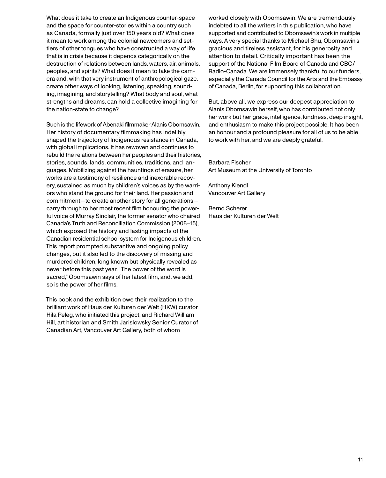What does it take to create an Indigenous counter-space and the space for counter-stories within a country such as Canada, formally just over 150 years old? What does it mean to work among the colonial newcomers and settlers of other tongues who have constructed a way of life that is in crisis because it depends categorically on the destruction of relations between lands, waters, air, animals, peoples, and spirits? What does it mean to take the camera and, with that very instrument of anthropological gaze, create other ways of looking, listening, speaking, sounding, imagining, and storytelling? What body and soul, what strengths and dreams, can hold a collective imagining for the nation-state to change?

Such is the lifework of Abenaki filmmaker Alanis Obomsawin. Her history of documentary filmmaking has indelibly shaped the trajectory of Indigenous resistance in Canada, with global implications. It has rewoven and continues to rebuild the relations between her peoples and their histories, stories, sounds, lands, communities, traditions, and languages. Mobilizing against the hauntings of erasure, her works are a testimony of resilience and inexorable recovery, sustained as much by children's voices as by the warriors who stand the ground for their land. Her passion and commitment—to create another story for all generations carry through to her most recent film honouring the powerful voice of Murray Sinclair, the former senator who chaired Canada's Truth and Reconciliation Commission (2008–15), which exposed the history and lasting impacts of the Canadian residential school system for Indigenous children. This report prompted substantive and ongoing policy changes, but it also led to the discovery of missing and murdered children, long known but physically revealed as never before this past year. "The power of the word is sacred," Obomsawin says of her latest film, and, we add, so is the power of her films.

This book and the exhibition owe their realization to the brilliant work of Haus der Kulturen der Welt (HKW) curator Hila Peleg, who initiated this project, and Richard William Hill, art historian and Smith Jarislowsky Senior Curator of Canadian Art, Vancouver Art Gallery, both of whom

worked closely with Obomsawin. We are tremendously indebted to all the writers in this publication, who have supported and contributed to Obomsawin's work in multiple ways. A very special thanks to Michael Shu, Obomsawin's gracious and tireless assistant, for his generosity and attention to detail. Critically important has been the support of the National Film Board of Canada and CBC/ Radio-Canada. We are immensely thankful to our funders, especially the Canada Council for the Arts and the Embassy of Canada, Berlin, for supporting this collaboration.

But, above all, we express our deepest appreciation to Alanis Obomsawin herself, who has contributed not only her work but her grace, intelligence, kindness, deep insight, and enthusiasm to make this project possible. It has been an honour and a profound pleasure for all of us to be able to work with her, and we are deeply grateful.

Barbara Fischer Art Museum at the University of Toronto

Anthony Kiendl Vancouver Art Gallery

Bernd Scherer Haus der Kulturen der Welt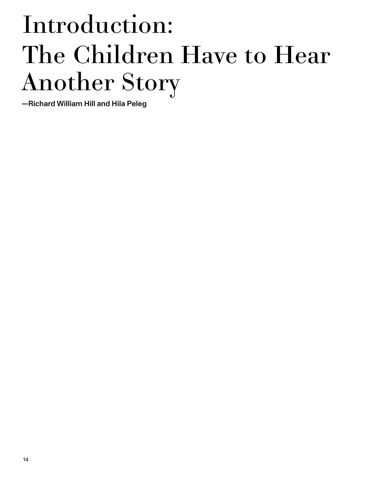## Introduction: The Children Have to Hear Another Story

—Richard William Hill and Hila Peleg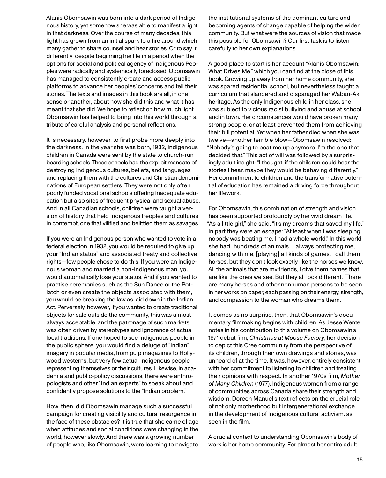Alanis Obomsawin was born into a dark period of Indigenous history, yet somehow she was able to manifest a light in that darkness. Over the course of many decades, this light has grown from an initial spark to a fire around which many gather to share counsel and hear stories. Or to say it differently: despite beginning her life in a period when the options for social and political agency of Indigenous Peoples were radically and systemically foreclosed, Obomsawin has managed to consistently create and access public platforms to advance her peoples' concerns and tell their stories. The texts and images in this book are all, in one sense or another, about how she did this and what it has meant that she did. We hope to reflect on how much light Obomsawin has helped to bring into this world through a tribute of careful analysis and personal reflections.

It is necessary, however, to first probe more deeply into the darkness. In the year she was born, 1932, Indigenous children in Canada were sent by the state to church-run boarding schools. These schools had the explicit mandate of destroying Indigenous cultures, beliefs, and languages and replacing them with the cultures and Christian denominations of European settlers. They were not only often poorly funded vocational schools offering inadequate education but also sites of frequent physical and sexual abuse. And in all Canadian schools, children were taught a version of history that held Indigenous Peoples and cultures in contempt, one that vilified and belittled them as savages.

If you were an Indigenous person who wanted to vote in a federal election in 1932, you would be required to give up your "Indian status" and associated treaty and collective rights—few people chose to do this. If you were an Indigenous woman and married a non-Indigenous man, you would automatically lose your status. And if you wanted to practise ceremonies such as the Sun Dance or the Potlatch or even create the objects associated with them, you would be breaking the law as laid down in the Indian Act. Perversely, however, if you wanted to create traditional objects for sale outside the community, this was almost always acceptable, and the patronage of such markets was often driven by stereotypes and ignorance of actual local traditions. If one hoped to see Indigenous people in the public sphere, you would find a deluge of "Indian" imagery in popular media, from pulp magazines to Hollywood westerns, but very few actual Indigenous people representing themselves or their cultures. Likewise, in academia and public-policy discussions, there were anthropologists and other "Indian experts" to speak about and confidently propose solutions to the "Indian problem."

How, then, did Obomsawin manage such a successful campaign for creating visibility and cultural resurgence in the face of these obstacles? It is true that she came of age when attitudes and social conditions were changing in the world, however slowly. And there was a growing number of people who, like Obomsawin, were learning to navigate

the institutional systems of the dominant culture and becoming agents of change capable of helping the wider community. But what were the sources of vision that made this possible for Obomsawin? Our first task is to listen carefully to her own explanations.

A good place to start is her account "Alanis Obomsawin: What Drives Me," which you can find at the close of this book. Growing up away from her home community, she was spared residential school, but nevertheless taught a curriculum that slandered and disparaged her Waban-Aki heritage. As the only Indigenous child in her class, she was subject to vicious racist bullying and abuse at school and in town. Her circumstances would have broken many strong people, or at least prevented them from achieving their full potential. Yet when her father died when she was twelve—another terrible blow—Obomsawin resolved: "Nobody's going to beat me up anymore. I'm the one that decided that." This act of will was followed by a surprisingly adult insight: "I thought, if the children could hear the stories I hear, maybe they would be behaving differently." Her commitment to children and the transformative potential of education has remained a driving force throughout her lifework.

For Obomsawin, this combination of strength and vision has been supported profoundly by her vivid dream life. "As a little girl," she said, "it's my dreams that saved my life." In part they were an escape: "At least when I was sleeping, nobody was beating me. I had a whole world." In this world she had "hundreds of animals … always protecting me, dancing with me, [playing] all kinds of games. I call them horses, but they don't look exactly like the horses we know. All the animals that are my friends, I give them names that are like the ones we see. But they all look different." There are many horses and other nonhuman persons to be seen in her works on paper, each passing on their energy, strength, and compassion to the woman who dreams them.

It comes as no surprise, then, that Obomsawin's documentary filmmaking begins with children. As Jesse Wente notes in his contribution to this volume on Obomsawin's 1971 debut film, *Christmas at Moose Factory*, her decision to depict this Cree community from the perspective of its children, through their own drawings and stories, was unheard of at the time. It was, however, entirely consistent with her commitment to listening to children and treating their opinions with respect. In another 1970s film, *Mother of Many Children* (1977), Indigenous women from a range of communities across Canada share their strength and wisdom. Doreen Manuel's text reflects on the crucial role of not only motherhood but intergenerational exchange in the development of Indigenous cultural activism, as seen in the film.

A crucial context to understanding Obomsawin's body of work is her home community. For almost her entire adult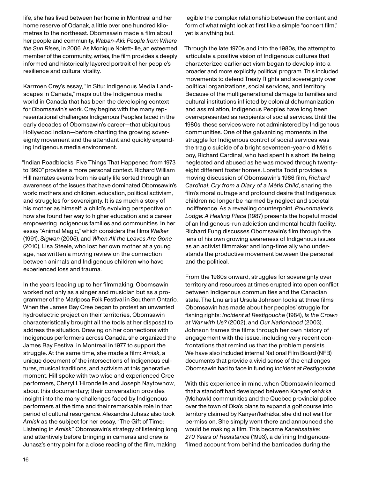life, she has lived between her home in Montreal and her home reserve of Odanak, a little over one hundred kilometres to the northeast. Obomsawin made a film about her people and community, *Waban-Aki: People from Where the Sun Rises*, in 2006. As Monique Nolett-Ille, an esteemed member of the community, writes, the film provides a deeply informed and historically layered portrait of her people's resilience and cultural vitality.

Karrmen Crey's essay, "In Situ: Indigenous Media Landscapes in Canada," maps out the Indigenous media world in Canada that has been the developing context for Obomsawin's work. Crey begins with the many representational challenges Indigenous Peoples faced in the early decades of Obomsawin's career—that ubiquitous Hollywood Indian—before charting the growing sovereignty movement and the attendant and quickly expanding Indigenous media environment.

"Indian Roadblocks: Five Things That Happened from 1973 to 1990" provides a more personal context. Richard William Hill narrates events from his early life sorted through an awareness of the issues that have dominated Obomsawin's work: mothers and children, education, political activism, and struggles for sovereignty. It is as much a story of his mother as himself: a child's evolving perspective on how she found her way to higher education and a career empowering Indigenous families and communities. In her essay "Animal Magic," which considers the films *Walker*  (1991), *Sigwan* (2005), and *When All the Leaves Are Gone* (2010), Lisa Steele, who lost her own mother at a young age, has written a moving review on the connection between animals and Indigenous children who have experienced loss and trauma.

In the years leading up to her filmmaking, Obomsawin worked not only as a singer and musician but as a programmer of the Mariposa Folk Festival in Southern Ontario. When the James Bay Cree began to protest an unwanted hydroelectric project on their territories, Obomsawin characteristically brought all the tools at her disposal to address the situation. Drawing on her connections with Indigenous performers across Canada, she organized the James Bay Festival in Montreal in 1977 to support the struggle. At the same time, she made a film: *Amisk*, a unique document of the intersections of Indigenous cultures, musical traditions, and activism at this generative moment. Hill spoke with two wise and experienced Cree performers, Cheryl L'Hirondelle and Joseph Naytowhow, about this documentary; their conversation provides insight into the many challenges faced by Indigenous performers at the time and their remarkable role in that period of cultural resurgence. Alexandra Juhasz also took *Amisk* as the subject for her essay, "The Gift of Time: Listening in *Amisk*." Obomsawin's strategy of listening long and attentively before bringing in cameras and crew is Juhasz's entry point for a close reading of the film, making

legible the complex relationship between the content and form of what might look at first like a simple "concert film," yet is anything but.

Through the late 1970s and into the 1980s, the attempt to articulate a positive vision of Indigenous cultures that characterized earlier activism began to develop into a broader and more explicitly political program. This included movements to defend Treaty Rights and sovereignty over political organizations, social services, and territory. Because of the multigenerational damage to families and cultural institutions inflicted by colonial dehumanization and assimilation, Indigenous Peoples have long been overrepresented as recipients of social services. Until the 1980s, these services were not administered by Indigenous communities. One of the galvanizing moments in the struggle for Indigenous control of social services was the tragic suicide of a bright seventeen-year-old Métis boy, Richard Cardinal, who had spent his short life being neglected and abused as he was moved through twentyeight different foster homes. Loretta Todd provides a moving discussion of Obomsawin's 1986 film, *Richard Cardinal: Cry from a Diary of a Métis Child*, sharing the film's moral outrage and profound desire that Indigenous children no longer be harmed by neglect and societal indifference. As a revealing counterpoint, *Poundmaker's Lodge: A Healing Place* (1987) presents the hopeful model of an Indigenous-run addiction and mental health facility. Richard Fung discusses Obomsawin's film through the lens of his own growing awareness of Indigenous issues as an activist filmmaker and long-time ally who understands the productive movement between the personal and the political.

From the 1980s onward, struggles for sovereignty over territory and resources at times erupted into open conflict between Indigenous communities and the Canadian state. The L'nu artist Ursula Johnson looks at three films Obomsawin has made about her peoples' struggle for fishing rights: *Incident at Restigouche* (1984), *Is the Crown at War with Us?* (2002), and *Our Nationhood* (2003). Johnson frames the films through her own history of engagement with the issue, including very recent confrontations that remind us that the problem persists. We have also included internal National Film Board (NFB) documents that provide a vivid sense of the challenges Obomsawin had to face in funding *Incident at Restigouche*.

With this experience in mind, when Obomsawin learned that a standoff had developed between Kanyen'kehà:ka (Mohawk) communities and the Quebec provincial police over the town of Oka's plans to expand a golf course into territory claimed by Kanyen'kehà:ka, she did not wait for permission. She simply went there and announced she would be making a film. This became *Kanehsatake: 270 Years of Resistance* (1993), a defining Indigenousfilmed account from behind the barricades during the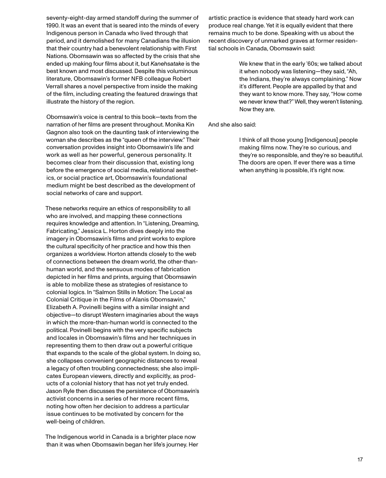seventy-eight-day armed standoff during the summer of 1990. It was an event that is seared into the minds of every Indigenous person in Canada who lived through that period, and it demolished for many Canadians the illusion that their country had a benevolent relationship with First Nations. Obomsawin was so affected by the crisis that she ended up making four films about it, but *Kanehsatake* is the best known and most discussed. Despite this voluminous literature, Obomsawin's former NFB colleague Robert Verrall shares a novel perspective from inside the making of the film, including creating the featured drawings that illustrate the history of the region.

Obomsawin's voice is central to this book—texts from the narration of her films are present throughout. Monika Kin Gagnon also took on the daunting task of interviewing the woman she describes as the "queen of the interview." Their conversation provides insight into Obomsawin's life and work as well as her powerful, generous personality. It becomes clear from their discussion that, existing long before the emergence of social media, relational aesthetics, or social practice art, Obomsawin's foundational medium might be best described as the development of social networks of care and support.

These networks require an ethics of responsibility to all who are involved, and mapping these connections requires knowledge and attention. In "Listening, Dreaming, Fabricating," Jessica L. Horton dives deeply into the imagery in Obomsawin's films and print works to explore the cultural specificity of her practice and how this then organizes a worldview. Horton attends closely to the web of connections between the dream world, the other-thanhuman world, and the sensuous modes of fabrication depicted in her films and prints, arguing that Obomsawin is able to mobilize these as strategies of resistance to colonial logics. In "Salmon Stills in Motion: The Local as Colonial Critique in the Films of Alanis Obomsawin," Elizabeth A. Povinelli begins with a similar insight and objective—to disrupt Western imaginaries about the ways in which the more-than-human world is connected to the political. Povinelli begins with the very specific subjects and locales in Obomsawin's films and her techniques in representing them to then draw out a powerful critique that expands to the scale of the global system. In doing so, she collapses convenient geographic distances to reveal a legacy of often troubling connectedness; she also implicates European viewers, directly and explicitly, as products of a colonial history that has not yet truly ended. Jason Ryle then discusses the persistence of Obomsawin's activist concerns in a series of her more recent films, noting how often her decision to address a particular issue continues to be motivated by concern for the well-being of children.

The Indigenous world in Canada is a brighter place now than it was when Obomsawin began her life's journey. Her artistic practice is evidence that steady hard work can produce real change. Yet it is equally evident that there remains much to be done. Speaking with us about the recent discovery of unmarked graves at former residential schools in Canada, Obomsawin said:

> We knew that in the early '60s; we talked about it when nobody was listening—they said, "Ah, the Indians, they're always complaining." Now it's different. People are appalled by that and they want to know more. They say, "How come we never knew that?" Well, they weren't listening. Now they are.

And she also said:

I think of all those young [Indigenous] people making films now. They're so curious, and they're so responsible, and they're so beautiful. The doors are open. If ever there was a time when anything is possible, it's right now.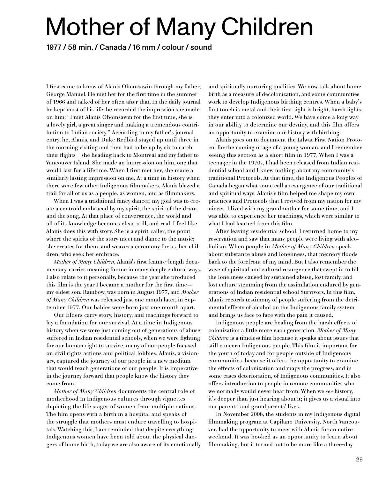#### Mother of Many Children

1977 / 58 min. / Canada / 16 mm / colour / sound

I first came to know of Alanis Obomsawin through my father, George Manuel. He met her for the first time in the summer of 1966 and talked of her often after that. In the daily journal he kept most of his life, he recorded the impression she made on him: "I met Alanis Obomsawin for the first time, she is a lovely girl, a great singer and making a tremendous contribution to Indian society." According to my father's journal entry, he, Alanis, and Duke Redbird stayed up until three in the morning visiting and then had to be up by six to catch their flights—she heading back to Montreal and my father to Vancouver Island. She made an impression on him, one that would last for a lifetime. When I first met her, she made a similarly lasting impression on me. At a time in history when there were few other Indigenous filmmakers, Alanis blazed a trail for all of us as a people, as women, and as filmmakers.

When I was a traditional fancy dancer, my goal was to create a centroid embraced by my spirit, the spirit of the drum, and the song. At that place of convergence, the world and all of its knowledge becomes clear, still, and real. I feel like Alanis does this with story. She is a spirit-caller, the point where the spirits of the story meet and dance to the music; she creates for them, and weaves a ceremony for us, her children, who seek her embrace.

*Mother of Many Children*, Alanis's first feature-length documentary, carries meaning for me in many deeply cultural ways. I also relate to it personally, because the year she produced this film is the year I became a mother for the first time my eldest son, Rainbow, was born in August 1977, and *Mother of Many Children* was released just one month later, in September 1977. Our babies were born just one month apart.

Our Elders carry story, history, and teachings forward to lay a foundation for our survival. At a time in Indigenous history when we were just coming out of generations of abuse suffered in Indian residential schools, when we were fighting for our human right to survive, many of our people focused on civil rights actions and political lobbies. Alanis, a visionary, captured the journey of our people in a new medium that would teach generations of our people. It is imperative in the journey forward that people know the history they come from.

*Mother of Many Children* documents the central role of motherhood in Indigenous cultures through vignettes depicting the life stages of women from multiple nations. The film opens with a birth in a hospital and speaks of the struggle that mothers must endure travelling to hospitals. Watching this, I am reminded that despite everything Indigenous women have been told about the physical dangers of home birth, today we are also aware of its emotionally and spiritually nurturing qualities. We now talk about home birth as a measure of decolonization, and some communities work to develop Indigenous birthing centres. When a baby's first touch is metal and their first sight is bright, harsh lights, they enter into a colonized world. We have come a long way in our ability to determine our destiny, and this film offers an opportunity to examine our history with birthing.

Alanis goes on to document the Líl' wat First Nation Protocol for the coming of age of a young woman, and I remember seeing this section as a short film in 1977. When I was a teenager in the 1970s, I had been released from Indian residential school and I knew nothing about my community's traditional Protocols. At that time, the Indigenous Peoples of Canada began what some call a resurgence of our traditional and spiritual ways. Alanis's film helped me shape my own practices and Protocols that I revived from my nation for my nieces. I lived with my grandmother for some time, and I was able to experience her teachings, which were similar to what I had learned from this film.

After leaving residential school, I returned home to my reservation and saw that many people were living with alcoholism. When people in *Mother of Many Children* speak about substance abuse and loneliness, that memory floods back to the forefront of my mind. But I also remember the wave of spiritual and cultural resurgence that swept in to fill the loneliness caused by sustained abuse, lost family, and lost culture stemming from the assimilation endured by generations of Indian residential school Survivors. In this film, Alanis records testimony of people suffering from the detrimental effects of alcohol on the Indigenous family system and brings us face to face with the pain it caused.

Indigenous people are healing from the harsh effects of colonization a little more each generation. *Mother of Many Children* is a timeless film because it speaks about issues that still concern Indigenous people. This film is important for the youth of today and for people outside of Indigenous communities, because it offers the opportunity to examine the effects of colonization and maps the progress, and in some cases deterioration, of Indigenous communities. It also offers introduction to people in remote communities who we normally would never hear from. When we *see* history, it's deeper than just hearing about it; it gives us a visual into our parents' and grandparents' lives.

In November 2008, the students in my Indigenous digital filmmaking program at Capilano University, North Vancouver, had the opportunity to meet with Alanis for an entire weekend. It was booked as an opportunity to learn about filmmaking, but it turned out to be more like a three-day